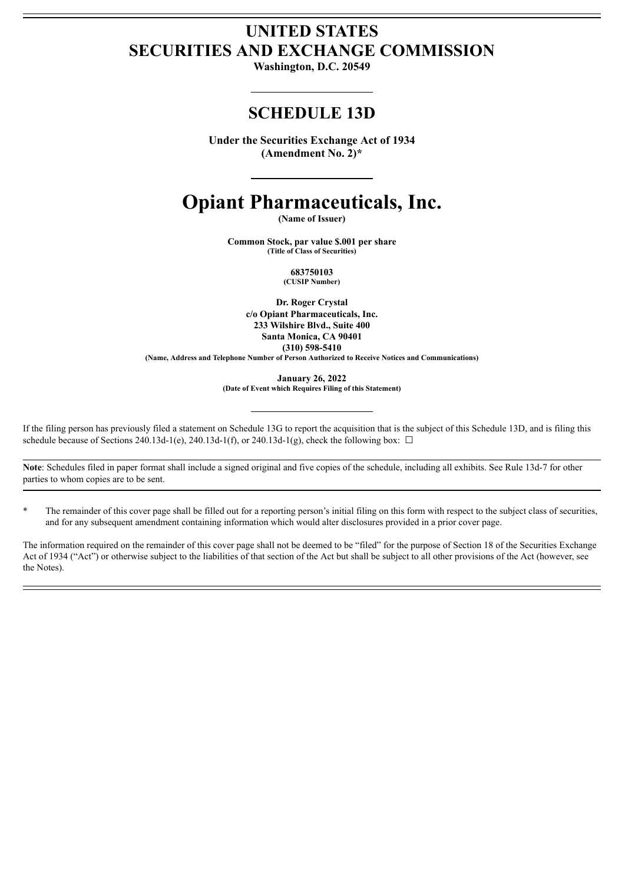# **UNITED STATES SECURITIES AND EXCHANGE COMMISSION**

**Washington, D.C. 20549**

## **SCHEDULE 13D**

**Under the Securities Exchange Act of 1934 (Amendment No. 2)\***

# **Opiant Pharmaceuticals, Inc.**

**(Name of Issuer)**

**Common Stock, par value \$.001 per share (Title of Class of Securities)**

> **683750103 (CUSIP Number)**

**Dr. Roger Crystal c/o Opiant Pharmaceuticals, Inc. 233 Wilshire Blvd., Suite 400 Santa Monica, CA 90401 (310) 598-5410 (Name, Address and Telephone Number of Person Authorized to Receive Notices and Communications)**

**January 26, 2022 (Date of Event which Requires Filing of this Statement)**

If the filing person has previously filed a statement on Schedule 13G to report the acquisition that is the subject of this Schedule 13D, and is filing this schedule because of Sections 240.13d-1(e), 240.13d-1(f), or 240.13d-1(g), check the following box:  $\Box$ 

**Note**: Schedules filed in paper format shall include a signed original and five copies of the schedule, including all exhibits. See Rule 13d-7 for other parties to whom copies are to be sent.

The remainder of this cover page shall be filled out for a reporting person's initial filing on this form with respect to the subject class of securities, and for any subsequent amendment containing information which would alter disclosures provided in a prior cover page.

The information required on the remainder of this cover page shall not be deemed to be "filed" for the purpose of Section 18 of the Securities Exchange Act of 1934 ("Act") or otherwise subject to the liabilities of that section of the Act but shall be subject to all other provisions of the Act (however, see the Notes).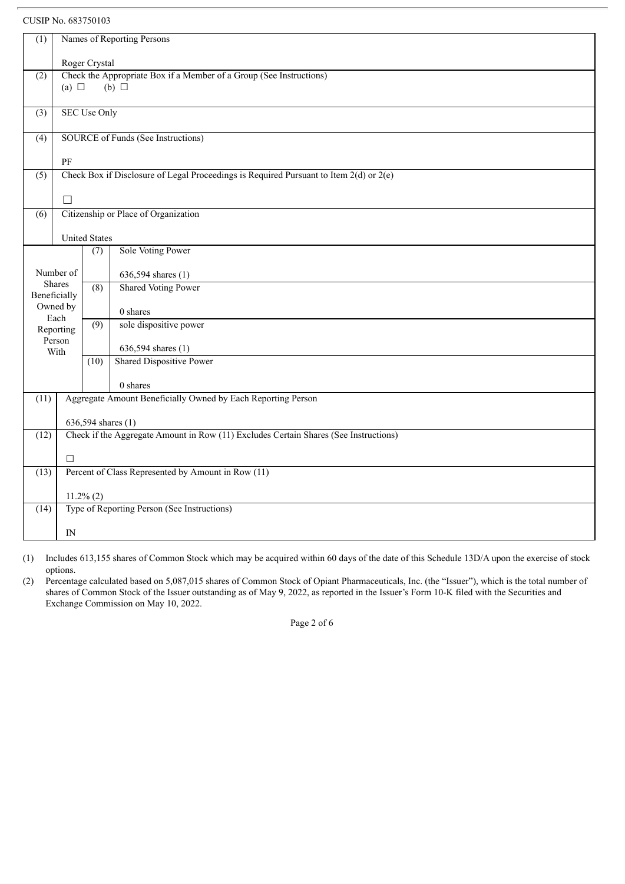## CUSIP No. 683750103

| (1)                                       | Names of Reporting Persons                                                                           |                                                                                            |                                                                                      |  |  |  |
|-------------------------------------------|------------------------------------------------------------------------------------------------------|--------------------------------------------------------------------------------------------|--------------------------------------------------------------------------------------|--|--|--|
|                                           | Roger Crystal                                                                                        |                                                                                            |                                                                                      |  |  |  |
| (2)                                       | Check the Appropriate Box if a Member of a Group (See Instructions)<br>(a) $\Box$<br>$(b)$ $\square$ |                                                                                            |                                                                                      |  |  |  |
|                                           |                                                                                                      |                                                                                            |                                                                                      |  |  |  |
| (3)                                       | <b>SEC Use Only</b>                                                                                  |                                                                                            |                                                                                      |  |  |  |
| SOURCE of Funds (See Instructions)<br>(4) |                                                                                                      |                                                                                            |                                                                                      |  |  |  |
|                                           | PF                                                                                                   |                                                                                            |                                                                                      |  |  |  |
| (5)                                       |                                                                                                      | Check Box if Disclosure of Legal Proceedings is Required Pursuant to Item $2(d)$ or $2(e)$ |                                                                                      |  |  |  |
|                                           | П                                                                                                    |                                                                                            |                                                                                      |  |  |  |
| (6)                                       |                                                                                                      |                                                                                            | Citizenship or Place of Organization                                                 |  |  |  |
|                                           | <b>United States</b>                                                                                 |                                                                                            |                                                                                      |  |  |  |
|                                           |                                                                                                      | $\overline{(7)}$                                                                           | Sole Voting Power                                                                    |  |  |  |
|                                           | Number of                                                                                            |                                                                                            | 636,594 shares (1)                                                                   |  |  |  |
|                                           | <b>Shares</b>                                                                                        | (8)                                                                                        | <b>Shared Voting Power</b>                                                           |  |  |  |
| Beneficially                              | Owned by                                                                                             |                                                                                            | 0 shares                                                                             |  |  |  |
|                                           | Each<br>Reporting                                                                                    | (9)                                                                                        | sole dispositive power                                                               |  |  |  |
|                                           | Person                                                                                               |                                                                                            | 636,594 shares (1)                                                                   |  |  |  |
|                                           | With                                                                                                 | (10)                                                                                       | <b>Shared Dispositive Power</b>                                                      |  |  |  |
|                                           |                                                                                                      |                                                                                            | 0 shares                                                                             |  |  |  |
| (11)                                      | Aggregate Amount Beneficially Owned by Each Reporting Person                                         |                                                                                            |                                                                                      |  |  |  |
|                                           |                                                                                                      | 636,594 shares (1)                                                                         |                                                                                      |  |  |  |
| (12)                                      |                                                                                                      |                                                                                            | Check if the Aggregate Amount in Row (11) Excludes Certain Shares (See Instructions) |  |  |  |
|                                           | $\Box$                                                                                               |                                                                                            |                                                                                      |  |  |  |
| (13)                                      | Percent of Class Represented by Amount in Row (11)                                                   |                                                                                            |                                                                                      |  |  |  |
|                                           |                                                                                                      | $11.2\% (2)$                                                                               |                                                                                      |  |  |  |
| (14)                                      |                                                                                                      |                                                                                            | Type of Reporting Person (See Instructions)                                          |  |  |  |
|                                           | $_{\rm IN}$                                                                                          |                                                                                            |                                                                                      |  |  |  |

(1) Includes 613,155 shares of Common Stock which may be acquired within 60 days of the date of this Schedule 13D/A upon the exercise of stock options.

(2) Percentage calculated based on 5,087,015 shares of Common Stock of Opiant Pharmaceuticals, Inc. (the "Issuer"), which is the total number of shares of Common Stock of the Issuer outstanding as of May 9, 2022, as reported in the Issuer's Form 10-K filed with the Securities and Exchange Commission on May 10, 2022.

Page 2 of 6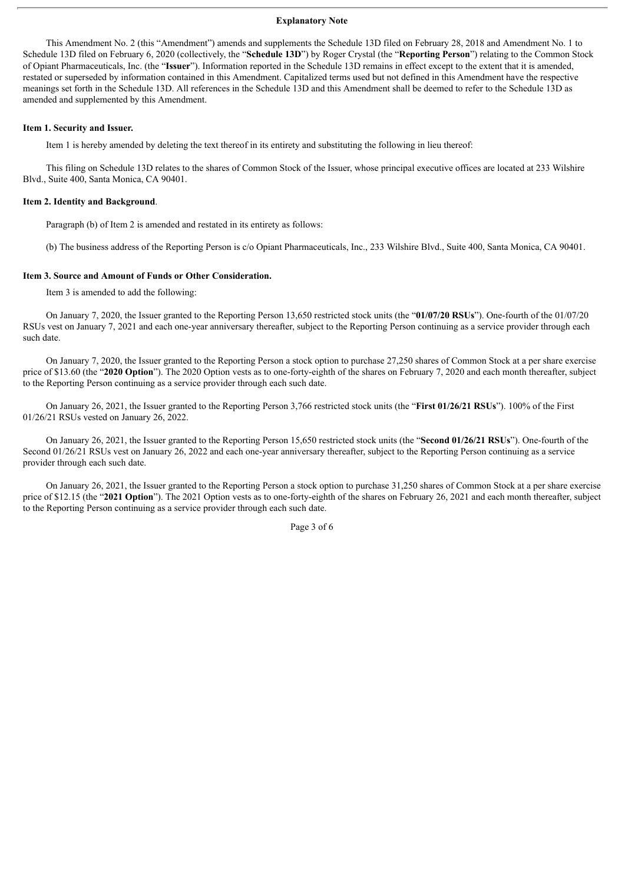#### **Explanatory Note**

This Amendment No. 2 (this "Amendment") amends and supplements the Schedule 13D filed on February 28, 2018 and Amendment No. 1 to Schedule 13D filed on February 6, 2020 (collectively, the "**Schedule 13D**") by Roger Crystal (the "**Reporting Person**") relating to the Common Stock of Opiant Pharmaceuticals, Inc. (the "**Issuer**"). Information reported in the Schedule 13D remains in effect except to the extent that it is amended, restated or superseded by information contained in this Amendment. Capitalized terms used but not defined in this Amendment have the respective meanings set forth in the Schedule 13D. All references in the Schedule 13D and this Amendment shall be deemed to refer to the Schedule 13D as amended and supplemented by this Amendment.

#### **Item 1. Security and Issuer.**

Item 1 is hereby amended by deleting the text thereof in its entirety and substituting the following in lieu thereof:

This filing on Schedule 13D relates to the shares of Common Stock of the Issuer, whose principal executive offices are located at 233 Wilshire Blvd., Suite 400, Santa Monica, CA 90401.

#### **Item 2. Identity and Background**.

Paragraph (b) of Item 2 is amended and restated in its entirety as follows:

(b) The business address of the Reporting Person is c/o Opiant Pharmaceuticals, Inc., 233 Wilshire Blvd., Suite 400, Santa Monica, CA 90401.

#### **Item 3. Source and Amount of Funds or Other Consideration.**

Item 3 is amended to add the following:

On January 7, 2020, the Issuer granted to the Reporting Person 13,650 restricted stock units (the "**01/07/20 RSUs**"). One-fourth of the 01/07/20 RSUs vest on January 7, 2021 and each one-year anniversary thereafter, subject to the Reporting Person continuing as a service provider through each such date.

On January 7, 2020, the Issuer granted to the Reporting Person a stock option to purchase 27,250 shares of Common Stock at a per share exercise price of \$13.60 (the "**2020 Option**"). The 2020 Option vests as to one-forty-eighth of the shares on February 7, 2020 and each month thereafter, subject to the Reporting Person continuing as a service provider through each such date.

On January 26, 2021, the Issuer granted to the Reporting Person 3,766 restricted stock units (the "**First 01/26/21 RSUs**"). 100% of the First 01/26/21 RSUs vested on January 26, 2022.

On January 26, 2021, the Issuer granted to the Reporting Person 15,650 restricted stock units (the "**Second 01/26/21 RSUs**"). One-fourth of the Second 01/26/21 RSUs vest on January 26, 2022 and each one-year anniversary thereafter, subject to the Reporting Person continuing as a service provider through each such date.

On January 26, 2021, the Issuer granted to the Reporting Person a stock option to purchase 31,250 shares of Common Stock at a per share exercise price of \$12.15 (the "**2021 Option**"). The 2021 Option vests as to one-forty-eighth of the shares on February 26, 2021 and each month thereafter, subject to the Reporting Person continuing as a service provider through each such date.

Page 3 of 6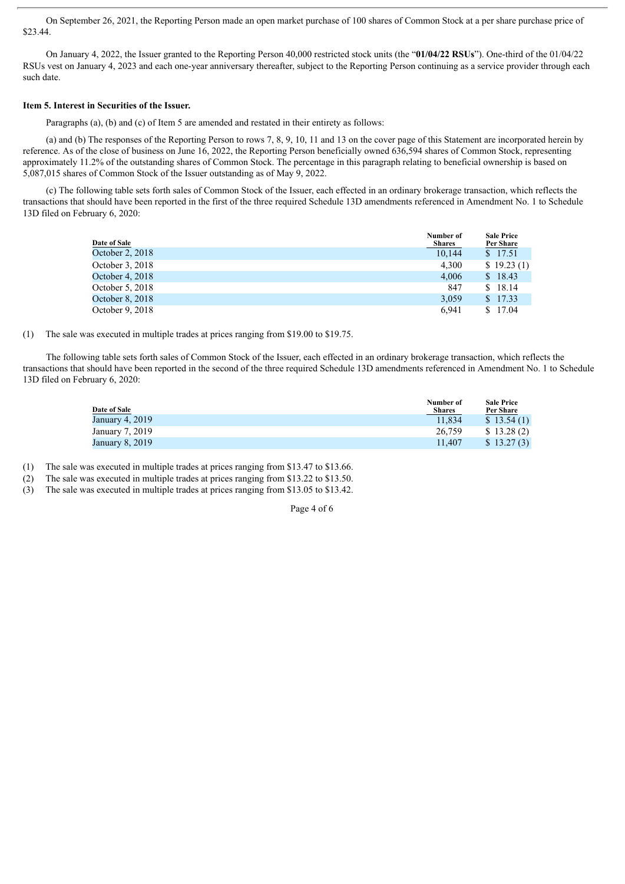On September 26, 2021, the Reporting Person made an open market purchase of 100 shares of Common Stock at a per share purchase price of \$23.44.

On January 4, 2022, the Issuer granted to the Reporting Person 40,000 restricted stock units (the "**01/04/22 RSUs**"). One-third of the 01/04/22 RSUs vest on January 4, 2023 and each one-year anniversary thereafter, subject to the Reporting Person continuing as a service provider through each such date.

#### **Item 5. Interest in Securities of the Issuer.**

Paragraphs (a), (b) and (c) of Item 5 are amended and restated in their entirety as follows:

(a) and (b) The responses of the Reporting Person to rows 7, 8, 9, 10, 11 and 13 on the cover page of this Statement are incorporated herein by reference. As of the close of business on June 16, 2022, the Reporting Person beneficially owned 636,594 shares of Common Stock, representing approximately 11.2% of the outstanding shares of Common Stock. The percentage in this paragraph relating to beneficial ownership is based on 5,087,015 shares of Common Stock of the Issuer outstanding as of May 9, 2022.

(c) The following table sets forth sales of Common Stock of the Issuer, each effected in an ordinary brokerage transaction, which reflects the transactions that should have been reported in the first of the three required Schedule 13D amendments referenced in Amendment No. 1 to Schedule 13D filed on February 6, 2020:

| Date of Sale    | Number of<br><b>Shares</b> | <b>Sale Price</b><br><b>Per Share</b> |
|-----------------|----------------------------|---------------------------------------|
| October 2, 2018 | 10.144                     | \$ 17.51                              |
| October 3, 2018 | 4.300                      | \$19.23(1)                            |
| October 4, 2018 | 4,006                      | \$18.43                               |
| October 5, 2018 | 847                        | \$18.14                               |
| October 8, 2018 | 3.059                      | \$17.33                               |
| October 9, 2018 | 6.941                      | \$17.04                               |

#### (1) The sale was executed in multiple trades at prices ranging from \$19.00 to \$19.75.

The following table sets forth sales of Common Stock of the Issuer, each effected in an ordinary brokerage transaction, which reflects the transactions that should have been reported in the second of the three required Schedule 13D amendments referenced in Amendment No. 1 to Schedule 13D filed on February 6, 2020:

| Date of Sale    | Number of<br><b>Shares</b> | <b>Sale Price</b><br>Per Share |
|-----------------|----------------------------|--------------------------------|
| January 4, 2019 | 11.834                     | \$13.54(1)                     |
| January 7, 2019 | 26.759                     | \$13.28(2)                     |
| January 8, 2019 | 11.407                     | \$13.27(3)                     |

(1) The sale was executed in multiple trades at prices ranging from \$13.47 to \$13.66.

(2) The sale was executed in multiple trades at prices ranging from \$13.22 to \$13.50.

(3) The sale was executed in multiple trades at prices ranging from \$13.05 to \$13.42.

Page 4 of 6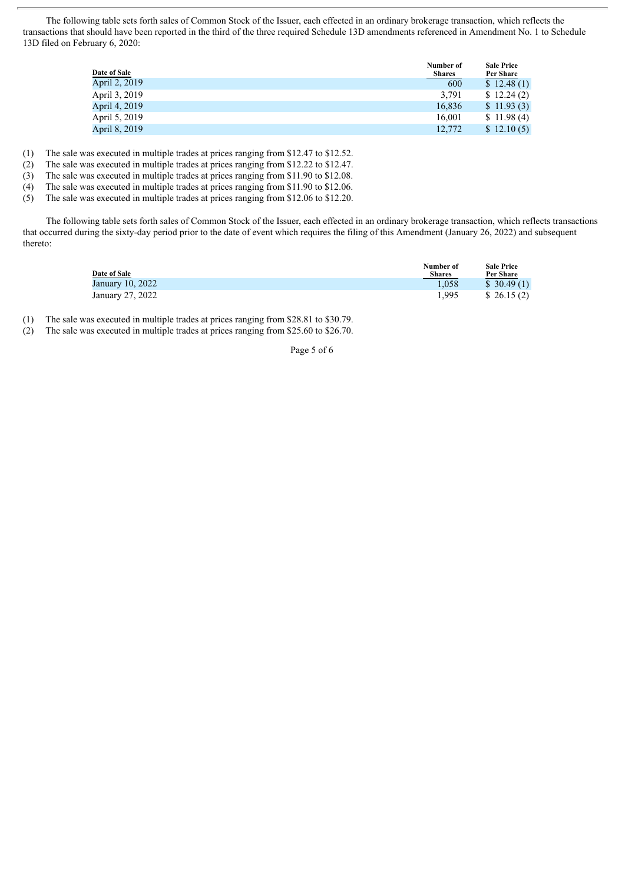The following table sets forth sales of Common Stock of the Issuer, each effected in an ordinary brokerage transaction, which reflects the transactions that should have been reported in the third of the three required Schedule 13D amendments referenced in Amendment No. 1 to Schedule 13D filed on February 6, 2020:

| Date of Sale  | Number of<br><b>Shares</b> | <b>Sale Price</b><br>Per Share |
|---------------|----------------------------|--------------------------------|
| April 2, 2019 | 600                        | \$12.48(1)                     |
| April 3, 2019 | 3,791                      | \$12.24(2)                     |
| April 4, 2019 | 16,836                     | \$11.93(3)                     |
| April 5, 2019 | 16.001                     | \$11.98(4)                     |
| April 8, 2019 | 12,772                     | \$12.10(5)                     |

(1) The sale was executed in multiple trades at prices ranging from \$12.47 to \$12.52.

(2) The sale was executed in multiple trades at prices ranging from \$12.22 to \$12.47.

(3) The sale was executed in multiple trades at prices ranging from \$11.90 to \$12.08.

(4) The sale was executed in multiple trades at prices ranging from \$11.90 to \$12.06.

(5) The sale was executed in multiple trades at prices ranging from \$12.06 to \$12.20.

The following table sets forth sales of Common Stock of the Issuer, each effected in an ordinary brokerage transaction, which reflects transactions that occurred during the sixty-day period prior to the date of event which requires the filing of this Amendment (January 26, 2022) and subsequent thereto:

| Date of Sale     | Number of<br><b>Shares</b> | <b>Sale Price</b><br>Per Share |
|------------------|----------------------------|--------------------------------|
| January 10, 2022 | 1.058                      | \$30.49(1)                     |
| January 27, 2022 | 1.995                      | \$26.15(2)                     |

(1) The sale was executed in multiple trades at prices ranging from \$28.81 to \$30.79.

(2) The sale was executed in multiple trades at prices ranging from \$25.60 to \$26.70.

Page 5 of 6